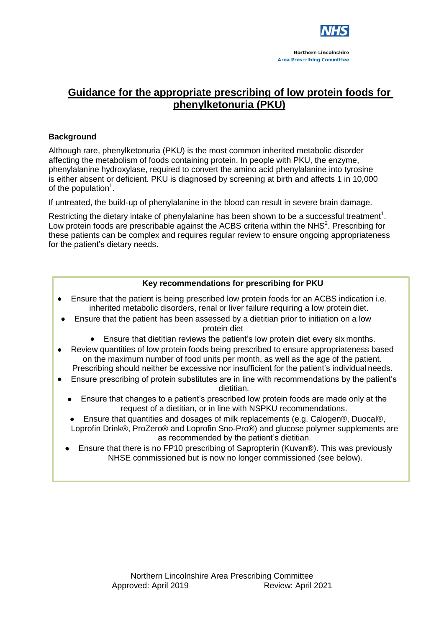

# **Guidance for the appropriate prescribing of low protein foods for phenylketonuria (PKU)**

# **Background**

Although rare, phenylketonuria (PKU) is the most common inherited metabolic disorder affecting the metabolism of foods containing protein. In people with PKU, the enzyme, phenylalanine hydroxylase, required to convert the amino acid phenylalanine into tyrosine is either absent or deficient. PKU is diagnosed by screening at birth and affects 1 in 10,000 of the population<sup>1</sup>.

If untreated, the build-up of phenylalanine in the blood can result in severe brain damage.

Restricting the dietary intake of phenylalanine has been shown to be a successful treatment<sup>1</sup>. Low protein foods are prescribable against the ACBS criteria within the NHS<sup>2</sup>. Prescribing for these patients can be complex and requires regular review to ensure ongoing appropriateness for the patient's dietary needs.

### **Key recommendations for prescribing for PKU**

- Ensure that the patient is being prescribed low protein foods for an ACBS indication i.e. inherited metabolic disorders, renal or liver failure requiring a low protein diet.
- Ensure that the patient has been assessed by a dietitian prior to initiation on a low protein diet
	- Ensure that dietitian reviews the patient's low protein diet every six months.
- Review quantities of low protein foods being prescribed to ensure appropriateness based on the maximum number of food units per month, as well as the age of the patient. Prescribing should neither be excessive nor insufficient for the patient's individual needs.
- Ensure prescribing of protein substitutes are in line with recommendations by the patient's dietitian.
	- Ensure that changes to a patient's prescribed low protein foods are made only at the request of a dietitian, or in line with NSPKU recommendations.
	- Ensure that quantities and dosages of milk replacements (e.g. Calogen®, Duocal®, Loprofin Drink®, ProZero® and Loprofin Sno-Pro®) and glucose polymer supplements are as recommended by the patient's dietitian.
	- Ensure that there is no FP10 prescribing of Sapropterin (Kuvan®). This was previously NHSE commissioned but is now no longer commissioned (see below).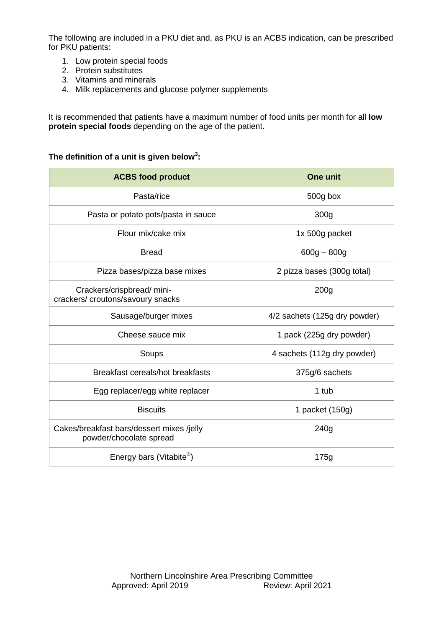The following are included in a PKU diet and, as PKU is an ACBS indication, can be prescribed for PKU patients:

- 1. Low protein special foods
- 2. Protein substitutes
- 3. Vitamins and minerals
- 4. Milk replacements and glucose polymer supplements

It is recommended that patients have a maximum number of food units per month for all **low protein special foods** depending on the age of the patient.

# **The definition of a unit is given below<sup>3</sup> :**

| <b>ACBS food product</b>                                             | One unit                      |
|----------------------------------------------------------------------|-------------------------------|
| Pasta/rice                                                           | 500g box                      |
| Pasta or potato pots/pasta in sauce                                  | 300 <sub>g</sub>              |
| Flour mix/cake mix                                                   | 1x 500g packet                |
| <b>Bread</b>                                                         | $600g - 800g$                 |
| Pizza bases/pizza base mixes                                         | 2 pizza bases (300g total)    |
| Crackers/crispbread/ mini-<br>crackers/croutons/savoury snacks       | 200 <sub>g</sub>              |
| Sausage/burger mixes                                                 | 4/2 sachets (125g dry powder) |
| Cheese sauce mix                                                     | 1 pack (225g dry powder)      |
| Soups                                                                | 4 sachets (112g dry powder)   |
| Breakfast cereals/hot breakfasts                                     | 375g/6 sachets                |
| Egg replacer/egg white replacer                                      | 1 tub                         |
| <b>Biscuits</b>                                                      | 1 packet (150g)               |
| Cakes/breakfast bars/dessert mixes /jelly<br>powder/chocolate spread | 240g                          |
| Energy bars (Vitabite <sup>®</sup> )                                 | 175g                          |